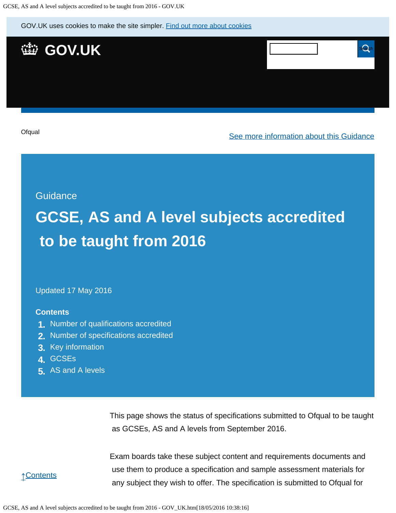GOV.UK uses cookies to make the site simpler. [Find out more about cookies](https://www.gov.uk/help/cookies)



**[Ofqual](https://www.gov.uk/government/organisations/ofqual)** 

[See more information about this Guidance](https://www.gov.uk/government/publications/accreditation-of-gcses-as-a-levels-for-teaching-from-2016)

**Guidance** 

# **GCSE, AS and A level subjects accredited to be taught from 2016**

Updated 17 May 2016

#### **Contents**

- **1.** [Number of qualifications accredited](https://www.gov.uk/government/publications/accreditation-of-gcses-as-a-levels-for-teaching-from-2016/gcse-as-and-a-level-subjects-accredited-to-be-taught-from-2016#number-of-qualifications-accredited)
- **2.** [Number of specifications accredited](https://www.gov.uk/government/publications/accreditation-of-gcses-as-a-levels-for-teaching-from-2016/gcse-as-and-a-level-subjects-accredited-to-be-taught-from-2016#number-of-specifications-accredited)
- **3.** [Key information](https://www.gov.uk/government/publications/accreditation-of-gcses-as-a-levels-for-teaching-from-2016/gcse-as-and-a-level-subjects-accredited-to-be-taught-from-2016#key-information)
- **4.** [GCSEs](https://www.gov.uk/government/publications/accreditation-of-gcses-as-a-levels-for-teaching-from-2016/gcse-as-and-a-level-subjects-accredited-to-be-taught-from-2016#gcses)
- **5.** [AS and A levels](https://www.gov.uk/government/publications/accreditation-of-gcses-as-a-levels-for-teaching-from-2016/gcse-as-and-a-level-subjects-accredited-to-be-taught-from-2016#as-and-a-levels)

This page shows the status of specifications submitted to Ofqual to be taught as GCSEs, AS and A levels from September 2016.

↑[Contents](https://www.gov.uk/government/publications/accreditation-of-gcses-as-a-levels-for-teaching-from-2016/gcse-as-and-a-level-subjects-accredited-to-be-taught-from-2016#contents)

Exam boards take these subject content and requirements documents and use them to produce a specification and sample assessment materials for any subject they wish to offer. The specification is submitted to Ofqual for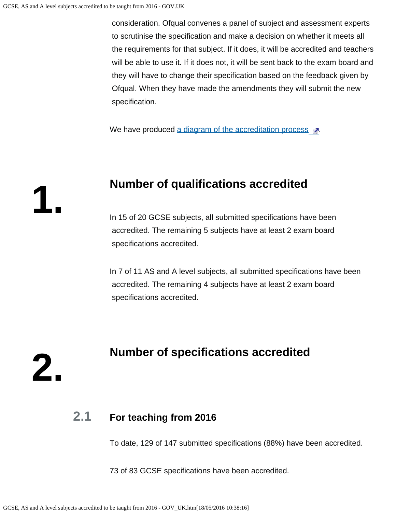**1.**

**2.**

 consideration. Ofqual convenes a panel of subject and assessment experts to scrutinise the specification and make a decision on whether it meets all the requirements for that subject. If it does, it will be accredited and teachers will be able to use it. If it does not, it will be sent back to the exam board and they will have to change their specification based on the feedback given by Ofqual. When they have made the amendments they will submit the new specification.

We have produced [a diagram of the accreditation process](https://s-media-cache-ak0.pinimg.com/originals/ce/98/b8/ce98b80566a5db550a3c26889667b9f8.png)  $\mathbb{R}^n$ .

#### **Number of qualifications accredited**

In 15 of 20 GCSE subjects, all submitted specifications have been accredited. The remaining 5 subjects have at least 2 exam board specifications accredited.

In 7 of 11 AS and A level subjects, all submitted specifications have been accredited. The remaining 4 subjects have at least 2 exam board specifications accredited.

## **Number of specifications accredited**

### **2.1 For teaching from 2016**

To date, 129 of 147 submitted specifications (88%) have been accredited.

73 of 83 GCSE specifications have been accredited.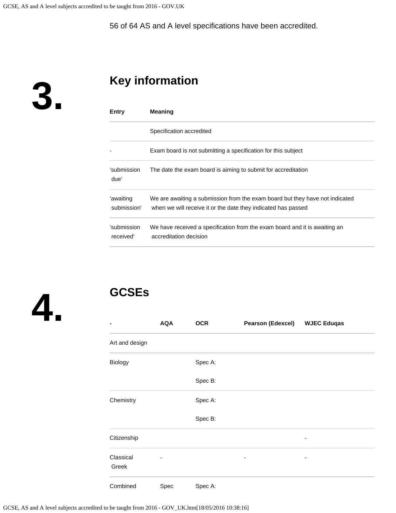56 of 64 AS and A level specifications have been accredited.

**3.**

# **Key information**

| Entry                    | <b>Meaning</b>                                                                                                                                |
|--------------------------|-----------------------------------------------------------------------------------------------------------------------------------------------|
|                          | Specification accredited                                                                                                                      |
|                          | Exam board is not submitting a specification for this subject                                                                                 |
| ʻsubmission<br>due'      | The date the exam board is aiming to submit for accreditation                                                                                 |
| 'awaiting<br>submission' | We are awaiting a submission from the exam board but they have not indicated<br>when we will receive it or the date they indicated has passed |
| ʻsubmission<br>received' | We have received a specification from the exam board and it is awaiting an<br>accreditation decision                                          |



## **GCSEs**

| ۰              | <b>AQA</b> | <b>OCR</b> | <b>Pearson (Edexcel)</b> | <b>WJEC Eduqas</b> |
|----------------|------------|------------|--------------------------|--------------------|
| Art and design |            |            |                          |                    |
| Biology        |            | Spec A:    |                          |                    |
|                |            | Spec B:    |                          |                    |
| Chemistry      |            | Spec A:    |                          |                    |
|                |            | Spec B:    |                          |                    |
| Citizenship    |            |            |                          |                    |
| Classical      | -          |            | ۰                        | ٠                  |
| Greek          |            |            |                          |                    |
| Combined       | Spec       | Spec A:    |                          |                    |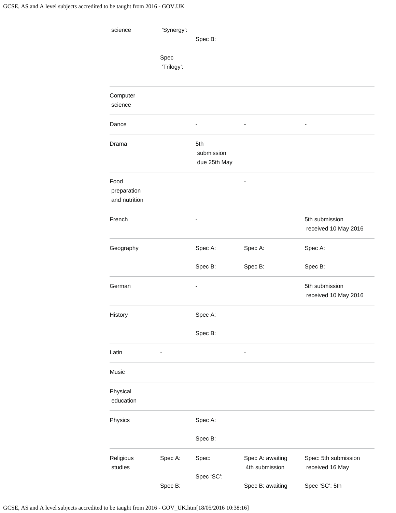| science                              | 'Synergy':         | Spec B:                           |                                    |                                         |
|--------------------------------------|--------------------|-----------------------------------|------------------------------------|-----------------------------------------|
|                                      | Spec<br>'Trilogy': |                                   |                                    |                                         |
| Computer<br>science                  |                    |                                   |                                    |                                         |
| Dance                                |                    | ä,                                |                                    | $\blacksquare$                          |
| Drama                                |                    | 5th<br>submission<br>due 25th May |                                    |                                         |
| Food<br>preparation<br>and nutrition |                    |                                   |                                    |                                         |
| French                               |                    |                                   |                                    | 5th submission<br>received 10 May 2016  |
| Geography                            |                    | Spec A:                           | Spec A:                            | Spec A:                                 |
|                                      |                    | Spec B:                           | Spec B:                            | Spec B:                                 |
| German                               |                    |                                   |                                    | 5th submission<br>received 10 May 2016  |
| History                              |                    | Spec A:                           |                                    |                                         |
|                                      |                    | Spec B:                           |                                    |                                         |
| Latin                                | -                  |                                   |                                    |                                         |
| Music                                |                    |                                   |                                    |                                         |
| Physical<br>education                |                    |                                   |                                    |                                         |
| Physics                              |                    | Spec A:                           |                                    |                                         |
|                                      |                    | Spec B:                           |                                    |                                         |
| Religious<br>studies                 | Spec A:            | Spec:<br>Spec 'SC':               | Spec A: awaiting<br>4th submission | Spec: 5th submission<br>received 16 May |
|                                      | Spec B:            |                                   | Spec B: awaiting                   | Spec 'SC': 5th                          |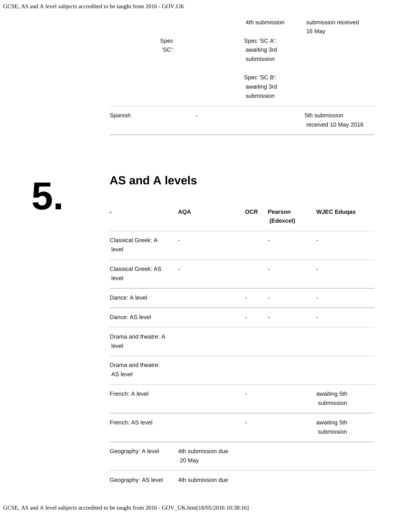|         |       | 4th submission | submission received                    |  |
|---------|-------|----------------|----------------------------------------|--|
|         |       |                | 16 May                                 |  |
|         | Spec  | Spec 'SC A':   |                                        |  |
|         | 'SC': | awaiting 3rd   |                                        |  |
|         |       | submission     |                                        |  |
|         |       | Spec 'SC B':   |                                        |  |
|         |       | awaiting 3rd   |                                        |  |
|         |       | submission     |                                        |  |
| Spanish | ٠     |                | 5th submission<br>received 10 May 2016 |  |
|         |       |                |                                        |  |

**5.**

### **AS and A levels**

|                                     | <b>AQA</b>                   | <b>OCR</b>               | Pearson<br>(Edexcel) | <b>WJEC Eduqas</b>         |
|-------------------------------------|------------------------------|--------------------------|----------------------|----------------------------|
| Classical Greek: A<br>level         |                              |                          |                      | Ĭ.                         |
| <b>Classical Greek: AS</b><br>level |                              |                          |                      | ٠                          |
| Dance: A level                      |                              | $\overline{\phantom{0}}$ | ÷,                   | $\overline{a}$             |
| Dance: AS level                     |                              |                          |                      |                            |
| Drama and theatre: A<br>level       |                              |                          |                      |                            |
| Drama and theatre:<br>AS level      |                              |                          |                      |                            |
| French: A level                     |                              | -                        |                      | awaiting 5th<br>submission |
| French: AS level                    |                              |                          |                      | awaiting 5th<br>submission |
| Geography: A level                  | 4th submission due<br>20 May |                          |                      |                            |
| Geography: AS level                 | 4th submission due           |                          |                      |                            |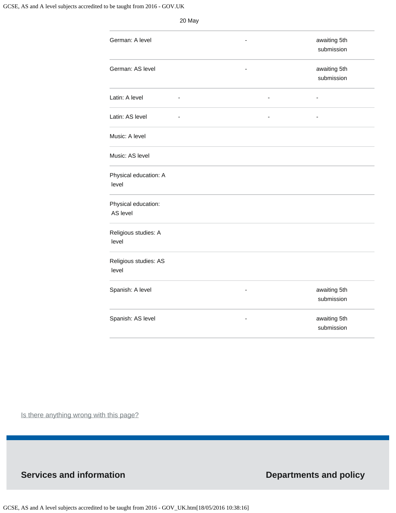|                                 | 20 May                   |                                                          |
|---------------------------------|--------------------------|----------------------------------------------------------|
| German: A level                 |                          | awaiting 5th<br>submission                               |
| German: AS level                |                          | awaiting 5th<br>submission                               |
| Latin: A level                  | $\overline{\phantom{a}}$ | $\overline{\phantom{0}}$<br>$\qquad \qquad \blacksquare$ |
| Latin: AS level                 |                          | $\overline{\phantom{a}}$                                 |
| Music: A level                  |                          |                                                          |
| Music: AS level                 |                          |                                                          |
| Physical education: A<br>level  |                          |                                                          |
| Physical education:<br>AS level |                          |                                                          |
| Religious studies: A<br>level   |                          |                                                          |
| Religious studies: AS<br>level  |                          |                                                          |
| Spanish: A level                | ۳                        | awaiting 5th<br>submission                               |
| Spanish: AS level               |                          | awaiting 5th<br>submission                               |

Is there anything wrong with this page?

#### **Services and information Departments and policy**